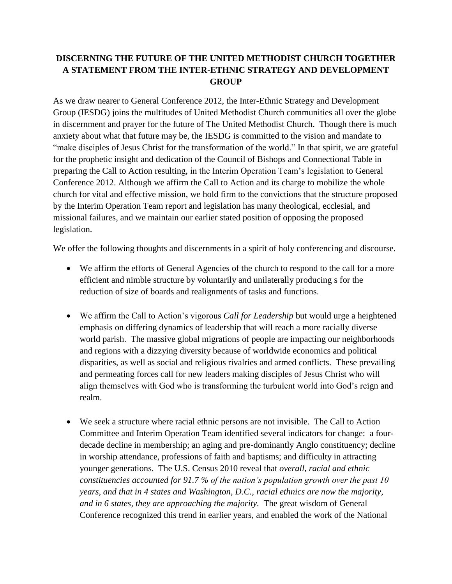## **DISCERNING THE FUTURE OF THE UNITED METHODIST CHURCH TOGETHER A STATEMENT FROM THE INTER-ETHNIC STRATEGY AND DEVELOPMENT GROUP**

As we draw nearer to General Conference 2012, the Inter-Ethnic Strategy and Development Group (IESDG) joins the multitudes of United Methodist Church communities all over the globe in discernment and prayer for the future of The United Methodist Church. Though there is much anxiety about what that future may be, the IESDG is committed to the vision and mandate to "make disciples of Jesus Christ for the transformation of the world." In that spirit, we are grateful for the prophetic insight and dedication of the Council of Bishops and Connectional Table in preparing the Call to Action resulting, in the Interim Operation Team's legislation to General Conference 2012. Although we affirm the Call to Action and its charge to mobilize the whole church for vital and effective mission, we hold firm to the convictions that the structure proposed by the Interim Operation Team report and legislation has many theological, ecclesial, and missional failures, and we maintain our earlier stated position of opposing the proposed legislation.

We offer the following thoughts and discernments in a spirit of holy conferencing and discourse.

- We affirm the efforts of General Agencies of the church to respond to the call for a more efficient and nimble structure by voluntarily and unilaterally producing s for the reduction of size of boards and realignments of tasks and functions.
- We affirm the Call to Action's vigorous *Call for Leadership* but would urge a heightened emphasis on differing dynamics of leadership that will reach a more racially diverse world parish. The massive global migrations of people are impacting our neighborhoods and regions with a dizzying diversity because of worldwide economics and political disparities, as well as social and religious rivalries and armed conflicts. These prevailing and permeating forces call for new leaders making disciples of Jesus Christ who will align themselves with God who is transforming the turbulent world into God's reign and realm.
- We seek a structure where racial ethnic persons are not invisible. The Call to Action Committee and Interim Operation Team identified several indicators for change: a fourdecade decline in membership; an aging and pre-dominantly Anglo constituency; decline in worship attendance, professions of faith and baptisms; and difficulty in attracting younger generations. The U.S. Census 2010 reveal that *overall, racial and ethnic constituencies accounted for 91.7 % of the nation's population growth over the past 10 years, and that in 4 states and Washington, D.C., racial ethnics are now the majority, and in 6 states, they are approaching the majority.* The great wisdom of General Conference recognized this trend in earlier years, and enabled the work of the National